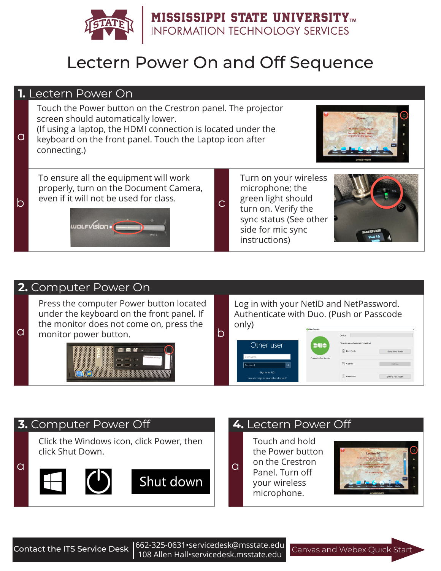

# Lectern Power On and Off Sequence

### **1.** Lectern Power On

Touch the Power button on the Crestron panel. The projector screen should automatically lower.

a (If using a laptop, the HDMI connection is located under the keyboard on the front panel. Touch the Laptop icon after connecting.)



To ensure all the equipment will work properly, turn on the Document Camera, b even if it will not be used for class.



Turn on your wireless microphone; the green light should turn on. Verify the sync status (See other side for mic sync instructions)



## **2.** Computer Power On

Press the computer Power button located under the keyboard on the front panel. If the monitor does not come on, press the a change in the monitor power button.



Log in with your NetID and NetPassword. Authenticate with Duo. (Push or Passcode only)

#### Other user Duo Pus Send Me a Push <sup>(ଜୁଲ</sup> Call Me **E** Passende Enter a Passcode

## **3.** Computer Power Off **4.** Lectern Power Off

Click the Windows icon, click Power, then click Shut Down.



Touch and hold the Power button on the Crestron Panel. Turn off your wireless microphone.



Canvas and Webex Quick Start